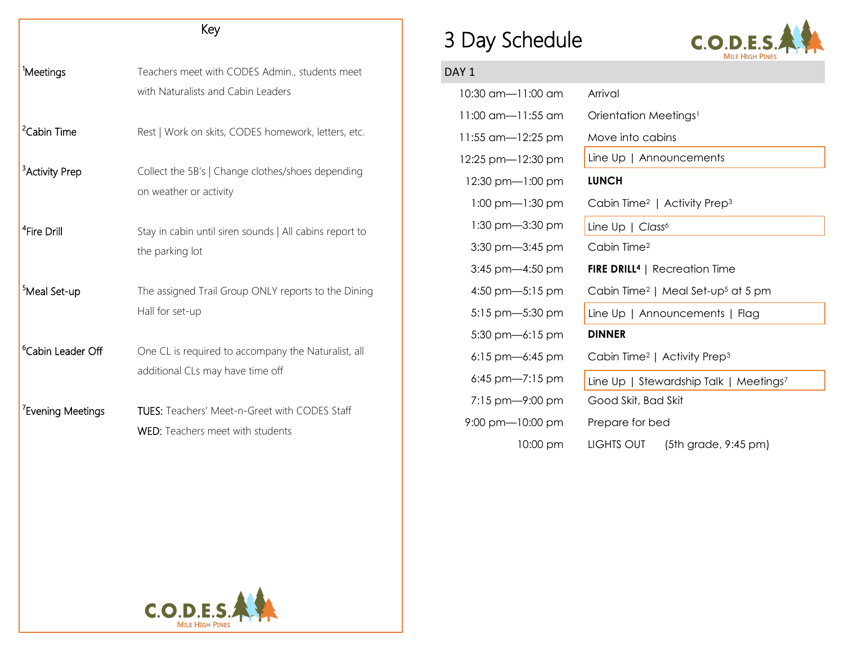| Key                           |                                                                                                 |  |
|-------------------------------|-------------------------------------------------------------------------------------------------|--|
| <sup>1</sup> Meetings         | Teachers meet with CODES Admin., students meet<br>with Naturalists and Cabin Leaders            |  |
| <sup>2</sup> Cabin Time       | Rest   Work on skits, CODES homework, letters, etc.                                             |  |
| <sup>3</sup> Activity Prep    | Collect the 5B's   Change clothes/shoes depending<br>on weather or activity                     |  |
| <sup>4</sup> Fire Drill       | Stay in cabin until siren sounds   All cabins report to<br>the parking lot                      |  |
| <sup>5</sup> Meal Set-up      | The assigned Trail Group ONLY reports to the Dining<br>Hall for set-up                          |  |
| <sup>6</sup> Cabin Leader Off | One CL is required to accompany the Naturalist, all<br>additional CLs may have time off         |  |
| <sup>7</sup> Evening Meetings | <b>TUES:</b> Teachers' Meet-n-Greet with CODES Staff<br><b>WED:</b> Teachers meet with students |  |

## 3 Day Schedule



## DAY<sub>1</sub>

| 10:30 am—11:00 am                   | Arrival                                                    |
|-------------------------------------|------------------------------------------------------------|
| 11:00 am-11:55 am                   | Orientation Meetings <sup>1</sup>                          |
| 11:55 am—12:25 pm                   | Move into cabins                                           |
| 12:25 pm-12:30 pm                   | Line $Up \mid$ Announcements                               |
| 12:30 pm-1:00 pm                    | <b>LUNCH</b>                                               |
| $1:00 \text{ pm} - 1:30 \text{ pm}$ | Cabin Time <sup>2</sup>   Activity Prep <sup>3</sup>       |
| $1:30$ pm $-3:30$ pm                | Line Up   Class <sup>6</sup>                               |
| $3:30$ pm $-3:45$ pm                | Cabin Time <sup>2</sup>                                    |
| 3:45 pm-4:50 pm                     | <b>FIRE DRILL<sup>4</sup></b>   Recreation Time            |
| 4:50 pm- $-5:15$ pm                 | Cabin Time <sup>2</sup>   Meal Set-up <sup>5</sup> at 5 pm |
| $5:15$ pm $-5:30$ pm                | Line Up   Announcements   Flag                             |
| $5:30$ pm $-6:15$ pm                | <b>DINNER</b>                                              |
| $6:15$ pm-6:45 pm                   | Cabin Time <sup>2</sup>   Activity Prep <sup>3</sup>       |
| 6:45 pm- $7:15$ pm                  | Line Up   Stewardship Talk   Meetings7                     |
| $7:15$ pm $-9:00$ pm                | Good Skit, Bad Skit                                        |
| $9:00 \text{ pm}$ -10:00 pm         | Prepare for bed                                            |
| 10:00 pm                            | LIGHTS OUT<br>(5th grade, 9:45 pm)                         |